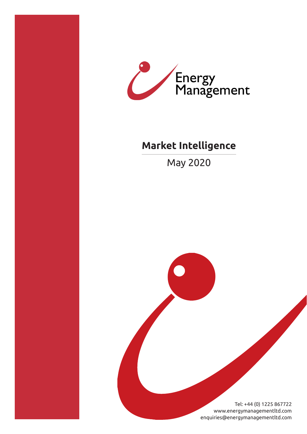



# **Market Intelligence**

May 2020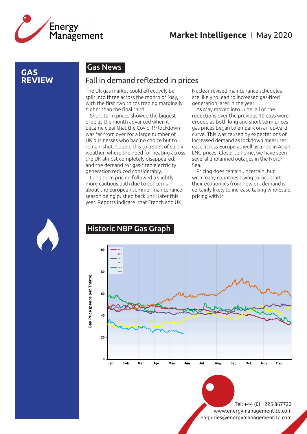

### **GAS REVIEW**

# Gas News

### Fall in demand reflected in prices

The UK gas market could effectively be split into three across the month of May, with the first two thirds trading marginally higher than the final third.

Short term prices showed the biggest drop as the month advanced when it became clear that the Covid-19 lockdown was far from over for a large number of UK businesses who had no choice but to remain shut. Couple this to a spell of sultry weather, where the need for heating across the UK almost completely disappeared, and the demand for gas-fired electricity generation reduced considerably.

Long term pricing followed a slightly more cautious path due to concerns about the European summer maintenance season being pushed back until later this year. Reports indicate that French and UK

Nuclear revised maintenance schedules are likely to lead to increased gas-fired generation later in the year.

As May moved into June, all of the reductions over the previous 10 days were eroded as both long and short term prices gas prices began to embark on an upward curve. This was caused by expectations of increased demand as lockdown measures ease across Europe as well as a rise in Asian LNG prices. Closer to home, we have seen several unplanned outages in the North Sea.

Pricing does remain uncertain, but with many countries trying to kick start their economies from now on, demand is certainly likely to increase taking wholesale pricing with it.



# Historic NBP Gas Graph

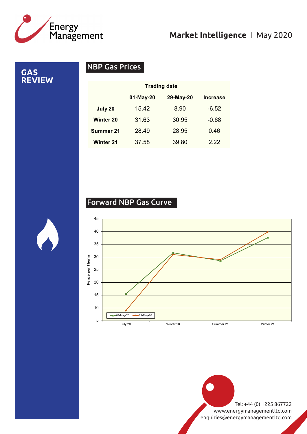

**GAS REVIEW**

# NBP Gas Prices

|                  | <b>Trading date</b> |           |                 |
|------------------|---------------------|-----------|-----------------|
|                  | 01-May-20           | 29-May-20 | <b>Increase</b> |
| July 20          | 15.42               | 8.90      | $-6.52$         |
| <b>Winter 20</b> | 31.63               | 30.95     | $-0.68$         |
| <b>Summer 21</b> | 28.49               | 28.95     | 0.46            |
| <b>Winter 21</b> | 37.58               | 39.80     | 222             |

# Forward NBP Gas Curve

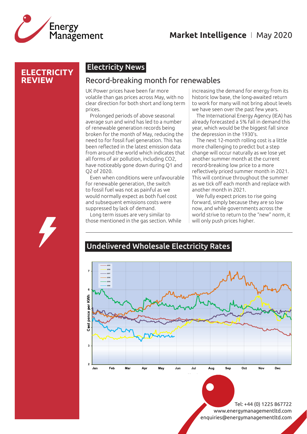

#### **ELECTRICITY REVIEW**

# Electricity News

#### Record-breaking month for renewables

UK Power prices have been far more volatile than gas prices across May, with no clear direction for both short and long term prices.

Prolonged periods of above seasonal average sun and wind has led to a number of renewable generation records being broken for the month of May, reducing the need to for fossil fuel generation. This has been reflected in the latest emission data from around the world which indicates that all forms of air pollution, including CO2, have noticeably gone down during Q1 and Q2 of 2020.

Even when conditions were unfavourable for renewable generation, the switch to fossil fuel was not as painful as we would normally expect as both fuel cost and subsequent emissions costs were suppressed by lack of demand.

Long term issues are very similar to those mentioned in the gas section. While

increasing the demand for energy from its historic low base, the long-awaited return to work for many will not bring about levels we have seen over the past few years.

The International Energy Agency (IEA) has already forecasted a 5% fall in demand this year, which would be the biggest fall since the depression in the 1930's.

The next 12-month rolling cost is a little more challenging to predict but a step change will occur naturally as we lose yet another summer month at the current record-breaking low price to a more reflectively priced summer month in 2021. This will continue throughout the summer as we tick off each month and replace with another month in 2021.

We fully expect prices to rise going forward, simply because they are so low now, and while governments across the world strive to return to the "new" norm, it will only push prices higher.

#### Undelivered Wholesale Electricity Rates Undelivered Wholesale Year Ahead Electricity

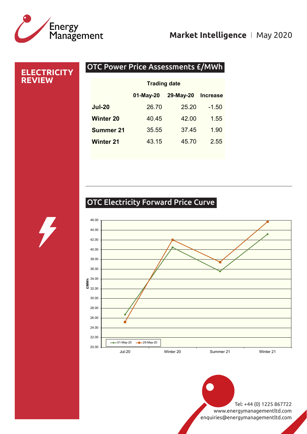

# OTC Power Price Assessments £/MWh **ELECTRICITY REVIEW** 01-May-20 29-May-20 Increase Jul-20 26.70 25.20 -1.50 Winter 20 40.45 42.00 1.55 **Summer 21** 35.55 37.45 1.90 Winter 21 43.15 45.70 2.55 Trading date

# OTC Electricity Forward Price Curve